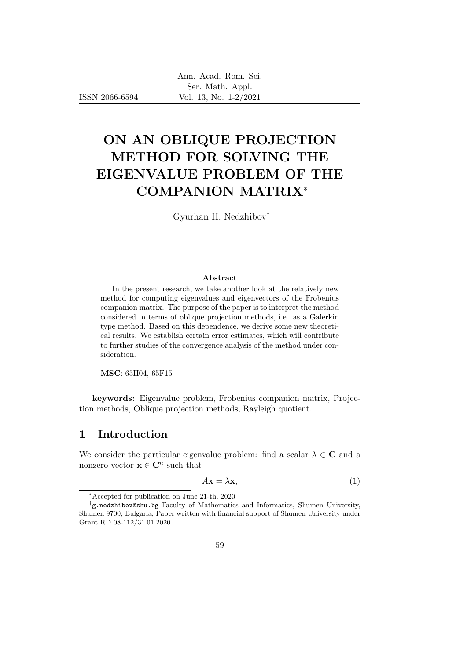ISSN 2066-6594

# ON AN OBLIQUE PROJECTION METHOD FOR SOLVING THE EIGENVALUE PROBLEM OF THE COMPANION MATRIX<sup>∗</sup>

Gyurhan H. Nedzhibov†

#### Abstract

In the present research, we take another look at the relatively new method for computing eigenvalues and eigenvectors of the Frobenius companion matrix. The purpose of the paper is to interpret the method considered in terms of oblique projection methods, i.e. as a Galerkin type method. Based on this dependence, we derive some new theoretical results. We establish certain error estimates, which will contribute to further studies of the convergence analysis of the method under consideration.

MSC: 65H04, 65F15

keywords: Eigenvalue problem, Frobenius companion matrix, Projection methods, Oblique projection methods, Rayleigh quotient.

# 1 Introduction

We consider the particular eigenvalue problem: find a scalar  $\lambda \in \mathbb{C}$  and a nonzero vector  $\mathbf{x} \in \mathbb{C}^n$  such that

$$
A\mathbf{x} = \lambda \mathbf{x},\tag{1}
$$

<sup>∗</sup>Accepted for publication on June 21-th, 2020

<sup>†</sup> g.nedzhibov@shu.bg Faculty of Mathematics and Informatics, Shumen University, Shumen 9700, Bulgaria; Paper written with financial support of Shumen University under Grant RD 08-112/31.01.2020.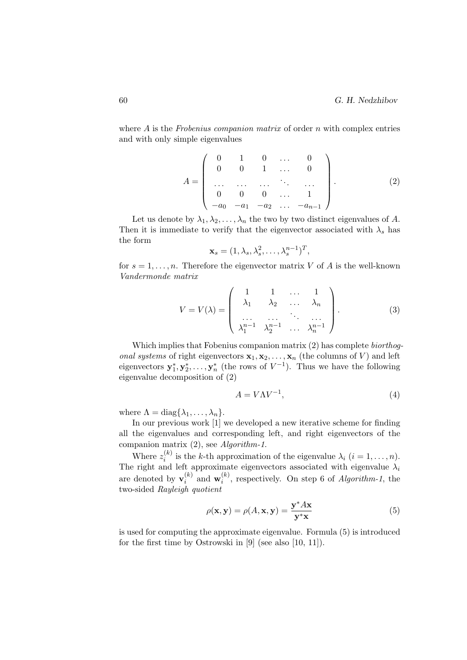where  $A$  is the Frobenius companion matrix of order  $n$  with complex entries and with only simple eigenvalues

$$
A = \left(\begin{array}{cccc} 0 & 1 & 0 & \dots & 0 \\ 0 & 0 & 1 & \dots & 0 \\ \dots & \dots & \dots & \dots & \dots \\ 0 & 0 & 0 & \dots & 1 \\ -a_0 & -a_1 & -a_2 & \dots & -a_{n-1} \end{array}\right).
$$
 (2)

Let us denote by  $\lambda_1, \lambda_2, \ldots, \lambda_n$  the two by two distinct eigenvalues of A. Then it is immediate to verify that the eigenvector associated with  $\lambda_s$  has the form

$$
\mathbf{x}_s = (1, \lambda_s, \lambda_s^2, \dots, \lambda_s^{n-1})^T,
$$

for  $s = 1, \ldots, n$ . Therefore the eigenvector matrix V of A is the well-known Vandermonde matrix

$$
V = V(\lambda) = \begin{pmatrix} 1 & 1 & \dots & 1 \\ \lambda_1 & \lambda_2 & \dots & \lambda_n \\ \dots & \dots & \dots & \dots \\ \lambda_1^{n-1} & \lambda_2^{n-1} & \dots & \lambda_n^{n-1} \end{pmatrix}.
$$
 (3)

Which implies that Fobenius companion matrix (2) has complete biorthog*onal systems* of right eigenvectors  $\mathbf{x}_1, \mathbf{x}_2, \ldots, \mathbf{x}_n$  (the columns of V) and left eigenvectors  $y_1^*, y_2^*, \ldots, y_n^*$  (the rows of  $V^{-1}$ ). Thus we have the following eigenvalue decomposition of (2)

$$
A = V\Lambda V^{-1},\tag{4}
$$

where  $\Lambda = \text{diag}\{\lambda_1, \ldots, \lambda_n\}.$ 

In our previous work [1] we developed a new iterative scheme for finding all the eigenvalues and corresponding left, and right eigenvectors of the companion matrix (2), see Algorithm-1.

Where  $z_i^{(k)}$  $i_i^{(k)}$  is the k-th approximation of the eigenvalue  $\lambda_i$   $(i = 1, \ldots, n)$ . The right and left approximate eigenvectors associated with eigenvalue  $\lambda_i$ are denoted by  $\mathbf{v}_i^{(k)}$  $i^{(k)}$  and  $\mathbf{w}_i^{(k)}$  $i^{(k)}$ , respectively. On step 6 of *Algorithm-1*, the two-sided Rayleigh quotient

$$
\rho(\mathbf{x}, \mathbf{y}) = \rho(A, \mathbf{x}, \mathbf{y}) = \frac{\mathbf{y}^* A \mathbf{x}}{\mathbf{y}^* \mathbf{x}}
$$
(5)

is used for computing the approximate eigenvalue. Formula (5) is introduced for the first time by Ostrowski in [9] (see also [10, 11]).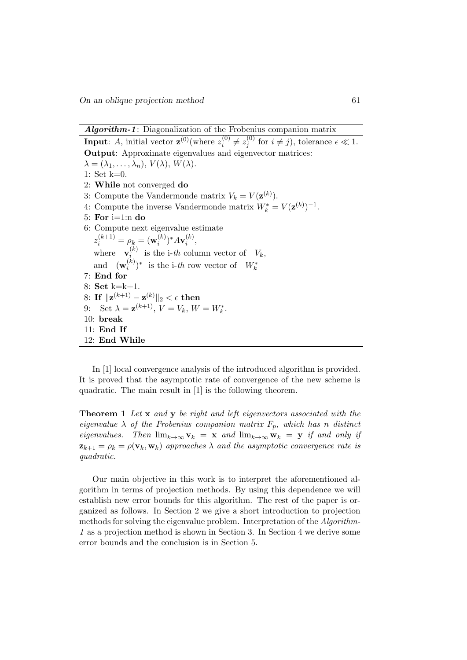Algorithm-1: Diagonalization of the Frobenius companion matrix

**Input:** A, initial vector  $\mathbf{z}^{(0)}$  (where  $z_i^{(0)}$ )  $z^{(0)}_i\neq z^{(0)}_j$  $j_j^{(0)}$  for  $i \neq j$ , tolerance  $\epsilon \ll 1$ . Output: Approximate eigenvalues and eigenvector matrices:  $\lambda = (\lambda_1, \ldots, \lambda_n), V(\lambda), W(\lambda).$ 1: Set k=0. 2: While not converged do 3: Compute the Vandermonde matrix  $V_k = V(\mathbf{z}^{(k)})$ . 4: Compute the inverse Vandermonde matrix  $W_k^* = V(\mathbf{z}^{(k)})^{-1}$ . 5: For  $i=1:n$  do 6: Compute next eigenvalue estimate  $z_i^{(k+1)} = \rho_k = (\mathbf{w}_i^{(k)})^* A \mathbf{v}_i^{(k)},$  $i \in I \cdot \mathbf{A}$ where  $\mathbf{v}_i^{(k)}$  $\sum_{i=1}^{(k)}$  is the i-th column vector of  $V_k$ , and  $(\mathbf{w}_i^{(k)}$  $\binom{k}{i}^*$  is the i-th row vector of  $W_k^*$ 7: End for 8: Set k=k+1. 8: If  $\|\mathbf{z}^{(k+1)}-\mathbf{z}^{(k)}\|_2<\epsilon$  then 9: Set  $\lambda = \mathbf{z}^{(k+1)}, V = V_k, W = W_k^*.$ 10: break 11: End If 12: End While

In [1] local convergence analysis of the introduced algorithm is provided. It is proved that the asymptotic rate of convergence of the new scheme is quadratic. The main result in [1] is the following theorem.

**Theorem 1** Let **x** and **y** be right and left eigenvectors associated with the eigenvalue  $\lambda$  of the Frobenius companion matrix  $F_p$ , which has n distinct eigenvalues. Then  $\lim_{k\to\infty} \mathbf{v}_k = \mathbf{x}$  and  $\lim_{k\to\infty} \mathbf{w}_k = \mathbf{y}$  if and only if  $\mathbf{z}_{k+1} = \rho_k = \rho(\mathbf{v}_k, \mathbf{w}_k)$  approaches  $\lambda$  and the asymptotic convergence rate is quadratic.

Our main objective in this work is to interpret the aforementioned algorithm in terms of projection methods. By using this dependence we will establish new error bounds for this algorithm. The rest of the paper is organized as follows. In Section 2 we give a short introduction to projection methods for solving the eigenvalue problem. Interpretation of the Algorithm-1 as a projection method is shown in Section 3. In Section 4 we derive some error bounds and the conclusion is in Section 5.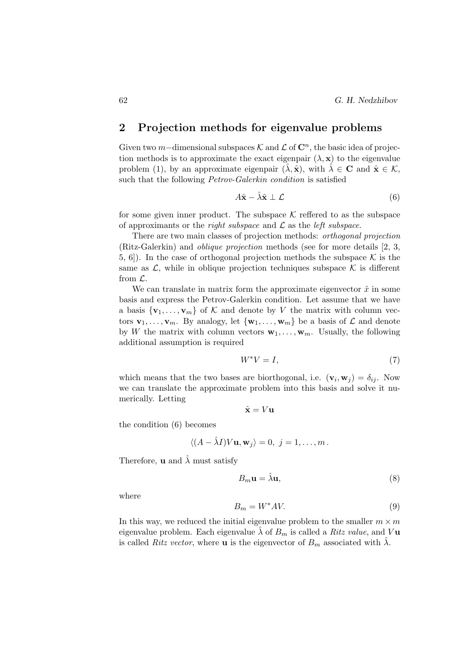# 2 Projection methods for eigenvalue problems

Given two m-dimensional subspaces K and  $\mathcal L$  of  $\mathbb C^n$ , the basic idea of projection methods is to approximate the exact eigenpair  $(\lambda, \mathbf{x})$  to the eigenvalue problem (1), by an approximate eigenpair  $(\lambda, \hat{\mathbf{x}})$ , with  $\lambda \in \mathbf{C}$  and  $\hat{\mathbf{x}} \in \mathcal{K}$ , such that the following *Petrov-Galerkin condition* is satisfied

$$
A\hat{\mathbf{x}} - \hat{\lambda}\hat{\mathbf{x}} \perp \mathcal{L}
$$
 (6)

for some given inner product. The subspace  $K$  reffered to as the subspace of approximants or the *right subspace* and  $\mathcal L$  as the *left subspace*.

There are two main classes of projection methods: orthogonal projection (Ritz-Galerkin) and oblique projection methods (see for more details [2, 3, 5, 6]). In the case of orthogonal projection methods the subspace  $K$  is the same as  $\mathcal{L}$ , while in oblique projection techniques subspace  $\mathcal K$  is different from  $\mathcal{L}$ .

We can translate in matrix form the approximate eigenvector  $\hat{x}$  in some basis and express the Petrov-Galerkin condition. Let assume that we have a basis  $\{v_1, \ldots, v_m\}$  of K and denote by V the matrix with column vectors  $\mathbf{v}_1, \ldots, \mathbf{v}_m$ . By analogy, let  $\{\mathbf{w}_1, \ldots, \mathbf{w}_m\}$  be a basis of  $\mathcal L$  and denote by W the matrix with column vectors  $\mathbf{w}_1, \ldots, \mathbf{w}_m$ . Usually, the following additional assumption is required

$$
W^*V = I,\t\t(7)
$$

which means that the two bases are biorthogonal, i.e.  $(\mathbf{v}_i, \mathbf{w}_j) = \delta_{ij}$ . Now we can translate the approximate problem into this basis and solve it numerically. Letting

$$
\hat{\mathbf{x}} = V\mathbf{u}
$$

the condition (6) becomes

$$
\langle (A - \hat{\lambda}I)V\mathbf{u}, \mathbf{w}_j \rangle = 0, \ j = 1, \ldots, m.
$$

Therefore, **u** and  $\lambda$  must satisfy

$$
B_m \mathbf{u} = \hat{\lambda} \mathbf{u},\tag{8}
$$

where

$$
B_m = W^*AV.
$$
\n<sup>(9)</sup>

In this way, we reduced the initial eigenvalue problem to the smaller  $m \times m$ eigenvalue problem. Each eigenvalue  $\hat{\lambda}$  of  $B_m$  is called a Ritz value, and V**u** is called Ritz vector, where **u** is the eigenvector of  $B_m$  associated with  $\hat{\lambda}$ .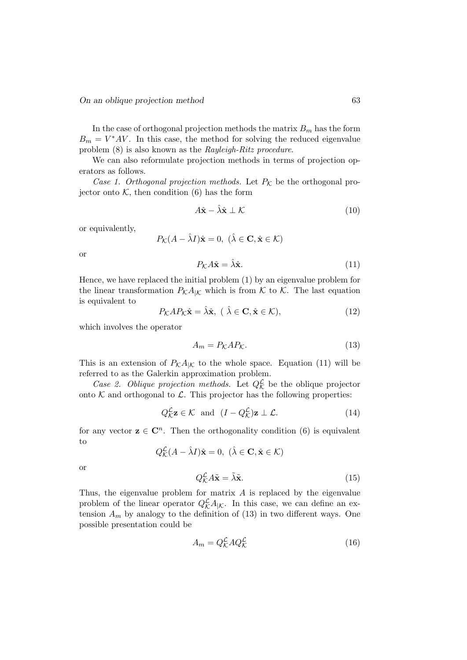In the case of orthogonal projection methods the matrix  $B_m$  has the form  $B_m = V^*AV$ . In this case, the method for solving the reduced eigenvalue problem (8) is also known as the Rayleigh-Ritz procedure.

We can also reformulate projection methods in terms of projection operators as follows.

Case 1. Orthogonal projection methods. Let  $P_K$  be the orthogonal projector onto  $K$ , then condition  $(6)$  has the form

$$
A\hat{\mathbf{x}} - \hat{\lambda}\hat{\mathbf{x}} \perp \mathcal{K}
$$
 (10)

or equivalently,

$$
P_{\mathcal{K}}(A - \hat{\lambda}I)\hat{\mathbf{x}} = 0, \ (\hat{\lambda} \in \mathbf{C}, \hat{\mathbf{x}} \in \mathcal{K})
$$

or

$$
P_{\mathcal{K}}A\hat{\mathbf{x}} = \hat{\lambda}\hat{\mathbf{x}}.\tag{11}
$$

Hence, we have replaced the initial problem (1) by an eigenvalue problem for the linear transformation  $P_K A_{\vert K}$  which is from K to K. The last equation is equivalent to

$$
P_{\mathcal{K}}AP_{\mathcal{K}}\hat{\mathbf{x}} = \hat{\lambda}\hat{\mathbf{x}}, \ (\ \hat{\lambda} \in \mathbf{C}, \hat{\mathbf{x}} \in \mathcal{K}), \tag{12}
$$

which involves the operator

$$
A_m = P_K A P_K. \tag{13}
$$

This is an extension of  $P_{\mathcal{K}}A_{|\mathcal{K}}$  to the whole space. Equation (11) will be referred to as the Galerkin approximation problem.

Case 2. Oblique projection methods. Let  $Q_K^{\mathcal{L}}$  be the oblique projector onto  $K$  and orthogonal to  $\mathcal{L}$ . This projector has the following properties:

$$
Q_{\mathcal{K}}^{\mathcal{L}} \mathbf{z} \in \mathcal{K} \quad \text{and} \quad (I - Q_{\mathcal{K}}^{\mathcal{L}}) \mathbf{z} \perp \mathcal{L}.
$$
 (14)

for any vector  $z \in \mathbb{C}^n$ . Then the orthogonality condition (6) is equivalent to

 $Q_{\mathcal{K}}^{\mathcal{L}}(A - \hat{\lambda}I)\hat{\mathbf{x}} = 0, \ (\hat{\lambda} \in \mathbf{C}, \hat{\mathbf{x}} \in \mathcal{K})$ 

or

$$
Q_{\mathcal{K}}^{\mathcal{L}} A \tilde{\mathbf{x}} = \tilde{\lambda} \tilde{\mathbf{x}}.\tag{15}
$$

Thus, the eigenvalue problem for matrix A is replaced by the eigenvalue problem of the linear operator  $Q_{\mathcal{K}}^{\mathcal{L}}A_{|\mathcal{K}}$ . In this case, we can define an extension  $A_m$  by analogy to the definition of (13) in two different ways. One possible presentation could be

$$
A_m = Q_K^{\mathcal{L}} A Q_K^{\mathcal{L}} \tag{16}
$$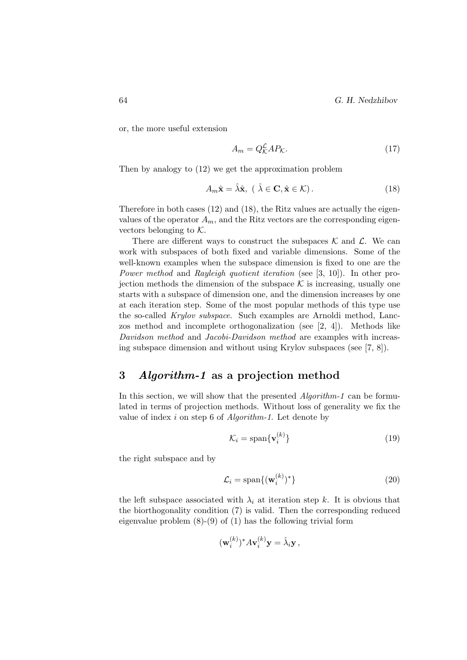64 G. H. Nedzhibov

or, the more useful extension

$$
A_m = Q_K^{\mathcal{L}} A P_{\mathcal{K}}.\tag{17}
$$

Then by analogy to (12) we get the approximation problem

$$
A_m \hat{\mathbf{x}} = \hat{\lambda} \hat{\mathbf{x}}, \ (\ \hat{\lambda} \in \mathbf{C}, \hat{\mathbf{x}} \in \mathcal{K}). \tag{18}
$$

Therefore in both cases (12) and (18), the Ritz values are actually the eigenvalues of the operator  $A_m$ , and the Ritz vectors are the corresponding eigenvectors belonging to  $K$ .

There are different ways to construct the subspaces  $\mathcal K$  and  $\mathcal L$ . We can work with subspaces of both fixed and variable dimensions. Some of the well-known examples when the subspace dimension is fixed to one are the Power method and Rayleigh quotient iteration (see [3, 10]). In other projection methods the dimension of the subspace  $K$  is increasing, usually one starts with a subspace of dimension one, and the dimension increases by one at each iteration step. Some of the most popular methods of this type use the so-called Krylov subspace. Such examples are Arnoldi method, Lanczos method and incomplete orthogonalization (see [2, 4]). Methods like Davidson method and Jacobi-Davidson method are examples with increasing subspace dimension and without using Krylov subspaces (see [7, 8]).

# 3 Algorithm-1 as a projection method

In this section, we will show that the presented *Algorithm-1* can be formulated in terms of projection methods. Without loss of generality we fix the value of index  $i$  on step 6 of *Algorithm-1*. Let denote by

$$
\mathcal{K}_i = \text{span}\{\mathbf{v}_i^{(k)}\}\tag{19}
$$

the right subspace and by

$$
\mathcal{L}_i = \text{span}\{(\mathbf{w}_i^{(k)})^*\}\tag{20}
$$

the left subspace associated with  $\lambda_i$  at iteration step k. It is obvious that the biorthogonality condition (7) is valid. Then the corresponding reduced eigenvalue problem (8)-(9) of (1) has the following trivial form

$$
(\mathbf{w}_i^{(k)})^* A \mathbf{v}_i^{(k)} \mathbf{y} = \hat{\lambda}_i \mathbf{y},
$$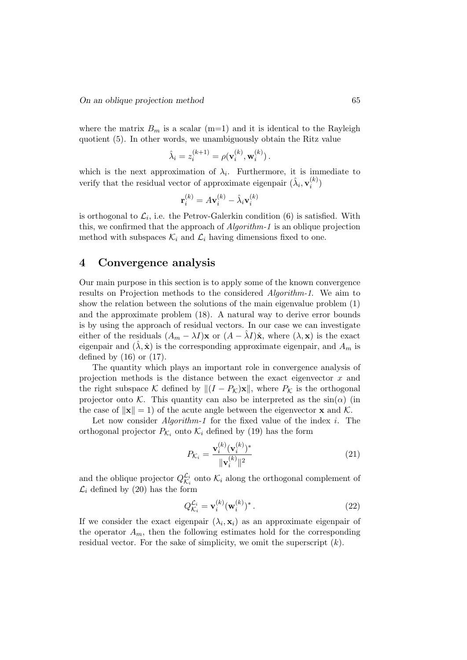where the matrix  $B_m$  is a scalar (m=1) and it is identical to the Rayleigh quotient (5). In other words, we unambiguously obtain the Ritz value

$$
\hat{\lambda}_i = z_i^{(k+1)} = \rho(\mathbf{v}_i^{(k)}, \mathbf{w}_i^{(k)}).
$$

which is the next approximation of  $\lambda_i$ . Furthermore, it is immediate to verify that the residual vector of approximate eigenpair  $(\hat{\lambda}_i, \mathbf{v}_i^{(k)})$  $\binom{\kappa}{i}$ 

$$
\mathbf{r}_i^{(k)} = A\mathbf{v}_i^{(k)} - \hat{\lambda}_i\mathbf{v}_i^{(k)}
$$

is orthogonal to  $\mathcal{L}_i$ , i.e. the Petrov-Galerkin condition (6) is satisfied. With this, we confirmed that the approach of Algorithm-1 is an oblique projection method with subspaces  $\mathcal{K}_i$  and  $\mathcal{L}_i$  having dimensions fixed to one.

### 4 Convergence analysis

Our main purpose in this section is to apply some of the known convergence results on Projection methods to the considered Algorithm-1. We aim to show the relation between the solutions of the main eigenvalue problem (1) and the approximate problem (18). A natural way to derive error bounds is by using the approach of residual vectors. In our case we can investigate either of the residuals  $(A_m - \lambda I)\mathbf{x}$  or  $(A - \lambda I)\hat{\mathbf{x}}$ , where  $(\lambda, \mathbf{x})$  is the exact eigenpair and  $(\lambda, \hat{\mathbf{x}})$  is the corresponding approximate eigenpair, and  $A_m$  is defined by  $(16)$  or  $(17)$ .

The quantity which plays an important role in convergence analysis of projection methods is the distance between the exact eigenvector  $x$  and the right subspace K defined by  $|| (I - P_{\mathcal{K}}) \mathbf{x} ||$ , where  $P_{\mathcal{K}}$  is the orthogonal projector onto K. This quantity can also be interpreted as the  $sin(\alpha)$  (in the case of  $\|\mathbf{x}\| = 1$ ) of the acute angle between the eigenvector **x** and K.

Let now consider  $Algorithm-1$  for the fixed value of the index i. The orthogonal projector  $P_{\mathcal{K}_i}$  onto  $\mathcal{K}_i$  defined by (19) has the form

$$
P_{\mathcal{K}_i} = \frac{\mathbf{v}_i^{(k)}(\mathbf{v}_i^{(k)})^*}{\|\mathbf{v}_i^{(k)}\|^2}
$$
(21)

and the oblique projector  $Q_{\mathcal{K}_1}^{\mathcal{L}_i}$  $\mathcal{L}_i$  onto  $\mathcal{K}_i$  along the orthogonal complement of  $\mathcal{L}_i$  defined by (20) has the form

$$
Q_{\mathcal{K}_i}^{\mathcal{L}_i} = \mathbf{v}_i^{(k)} (\mathbf{w}_i^{(k)})^* \,. \tag{22}
$$

If we consider the exact eigenpair  $(\lambda_i, \mathbf{x}_i)$  as an approximate eigenpair of the operator  $A_m$ , then the following estimates hold for the corresponding residual vector. For the sake of simplicity, we omit the superscript  $(k)$ .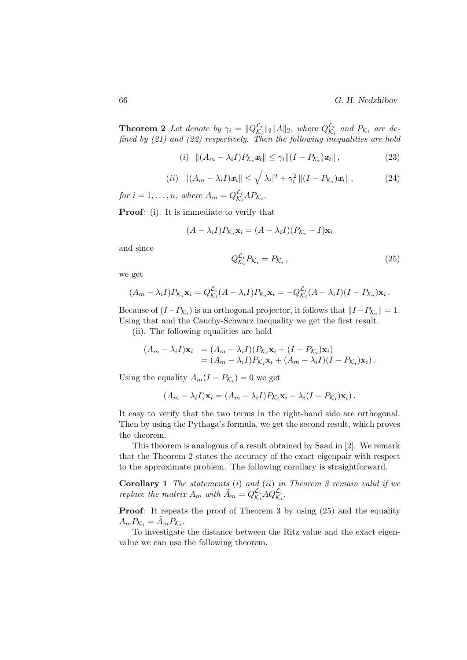**Theorem 2** Let denote by  $\gamma_i = ||Q_{\mathcal{K}_i}^{\mathcal{L}_i}||$  $\frac{\mathcal{L}_i}{\mathcal{K}_i} \|_2 \| A \|_2$ , where  $Q_{\mathcal{K}_i}^{\mathcal{L}_i}$  $\stackrel{\mathcal{L}_i}{\mathcal{K}_i}$  and  $P_{\mathcal{K}_i}$  are defined by (21) and (22) respectively. Then the following inequalities are hold

$$
(i) \| (A_m - \lambda_i I) P_{\mathcal{K}_i} \mathbf{x}_i \| \leq \gamma_i \| (I - P_{\mathcal{K}_i}) \mathbf{x}_i \|,
$$
\n
$$
(23)
$$

$$
(ii) \quad ||(A_m - \lambda_i I)\mathbf{x}_i|| \le \sqrt{|\lambda_i|^2 + \gamma_i^2} ||(I - P_{\mathcal{K}_i})\mathbf{x}_i|| \,, \tag{24}
$$

for  $i = 1, \ldots, n$ , where  $A_m = Q_{\mathcal{K}_n}^{\mathcal{L}_i}$  $\overset{\mathcal{L}_i}{\mathcal{\mathcal{K}}_i}AP_{\mathcal{\mathcal{K}}_i}.$ 

Proof: (i). It is immediate to verify that

$$
(A - \lambda_i I)P_{\mathcal{K}_i} \mathbf{x}_i = (A - \lambda_i I)(P_{\mathcal{K}_i} - I)\mathbf{x}_i
$$

and since

$$
Q_{\mathcal{K}_i}^{\mathcal{L}_i} P_{\mathcal{K}_i} = P_{\mathcal{K}_i} \,, \tag{25}
$$

we get

$$
(A_m - \lambda_i I)P_{\mathcal{K}_i} \mathbf{x}_i = Q_{\mathcal{K}_i}^{\mathcal{L}_i} (A - \lambda_i I)P_{\mathcal{K}_i} \mathbf{x}_i = -Q_{\mathcal{K}_i}^{\mathcal{L}_i} (A - \lambda_i I)(I - P_{\mathcal{K}_i}) \mathbf{x}_i.
$$

Because of  $(I - P_{\mathcal{K}_i})$  is an orthogonal projector, it follows that  $||I - P_{\mathcal{K}_i}|| = 1$ . Using that and the Cauchy-Schwarz inequality we get the first result.

(ii). The following equalities are hold

$$
(A_m - \lambda_i I)\mathbf{x}_i = (A_m - \lambda_i I)(P_{\mathcal{K}_i}\mathbf{x}_i + (I - P_{\mathcal{K}_i})\mathbf{x}_i)
$$
  
=  $(A_m - \lambda_i I)P_{\mathcal{K}_i}\mathbf{x}_i + (A_m - \lambda_i I)(I - P_{\mathcal{K}_i})\mathbf{x}_i).$ 

Using the equality  $A_m(I - P_{K_i}) = 0$  we get

$$
(A_m - \lambda_i I)\mathbf{x}_i = (A_m - \lambda_i I)P_{\mathcal{K}_i}\mathbf{x}_i - \lambda_i (I - P_{\mathcal{K}_i})\mathbf{x}_i).
$$

It easy to verify that the two terms in the right-hand side are orthogonal. Then by using the Pythaga's formula, we get the second result, which proves the theorem.

This theorem is analogous of a result obtained by Saad in [2]. We remark that the Theorem 2 states the accuracy of the exact eigenpair with respect to the approximate problem. The following corollary is straightforward.

**Corollary 1** The statements  $(i)$  and  $(ii)$  in Theorem 3 remain valid if we replace the matrix  $A_m$  with  $\tilde{A}_m = Q_{\mathcal{K}_n}^{\mathcal{L}_i}$  ${\mathcal{L}_i \over \mathcal{K}_i}AQ^{\mathcal{L}_i}_{\mathcal{K}_i}.$ 

**Proof:** It repeats the proof of Theorem 3 by using  $(25)$  and the equality  $A_m P_{\mathcal{K}_i} = \tilde{A}_m P_{\mathcal{K}_i}.$ 

To investigate the distance between the Ritz value and the exact eigenvalue we can use the following theorem.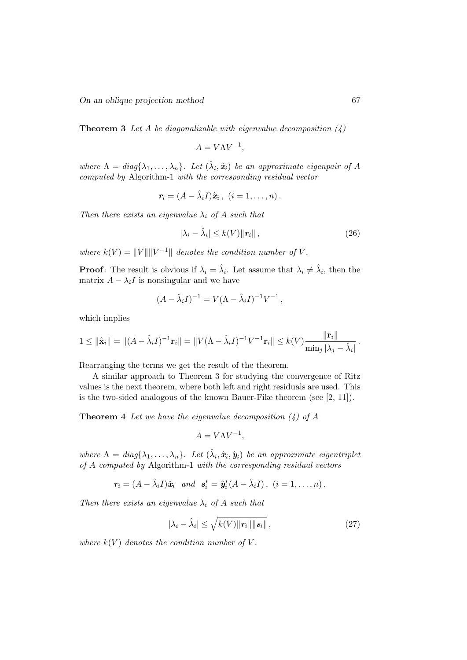On an oblique projection method 67

**Theorem 3** Let A be diagonalizable with eigenvalue decomposition  $(4)$ 

$$
A = V\Lambda V^{-1},
$$

where  $\Lambda = diag\{\lambda_1,\ldots,\lambda_n\}$ . Let  $(\hat{\lambda}_i, \hat{\boldsymbol{x}}_i)$  be an approximate eigenpair of A computed by Algorithm-1 with the corresponding residual vector

$$
\mathbf{r}_i = (A - \hat{\lambda}_i I)\hat{\mathbf{x}}_i , \ (i = 1, \ldots, n).
$$

Then there exists an eigenvalue  $\lambda_i$  of A such that

$$
|\lambda_i - \hat{\lambda}_i| \le k(V) \|r_i\| \,, \tag{26}
$$

where  $k(V) = ||V|| ||V^{-1}||$  denotes the condition number of V.

**Proof**: The result is obvious if  $\lambda_i = \hat{\lambda}_i$ . Let assume that  $\lambda_i \neq \hat{\lambda}_i$ , then the matrix  $A - \lambda_i I$  is nonsingular and we have

$$
(A - \hat{\lambda}_i I)^{-1} = V(\Lambda - \hat{\lambda}_i I)^{-1} V^{-1},
$$

which implies

$$
1 \leq \|\hat{\mathbf{x}}_i\| = \|(A - \hat{\lambda}_i I)^{-1} \mathbf{r}_i\| = \|V(\Lambda - \hat{\lambda}_i I)^{-1} V^{-1} \mathbf{r}_i\| \leq k(V) \frac{\|\mathbf{r}_i\|}{\min_j |\lambda_j - \hat{\lambda}_i|}.
$$

Rearranging the terms we get the result of the theorem.

A similar approach to Theorem 3 for studying the convergence of Ritz values is the next theorem, where both left and right residuals are used. This is the two-sided analogous of the known Bauer-Fike theorem (see [2, 11]).

**Theorem 4** Let we have the eigenvalue decomposition  $\left(\frac{1}{4}\right)$  of A

$$
A = V\Lambda V^{-1},
$$

where  $\Lambda = diag\{\lambda_1,\ldots,\lambda_n\}$ . Let  $(\hat{\lambda}_i, \hat{\boldsymbol{x}}_i, \hat{\boldsymbol{y}}_i)$  be an approximate eigentriplet of A computed by Algorithm-1 with the corresponding residual vectors

$$
\boldsymbol{r}_i=(A-\hat{\lambda}_iI)\hat{\boldsymbol{x}}_i \quad and \quad \boldsymbol{s}_i^*=\hat{\boldsymbol{y}}_i^*(A-\hat{\lambda}_iI), \ \ (i=1,\ldots,n).
$$

Then there exists an eigenvalue  $\lambda_i$  of A such that

$$
|\lambda_i - \hat{\lambda}_i| \le \sqrt{k(V) ||\mathbf{r}_i|| ||\mathbf{s}_i||},\tag{27}
$$

where  $k(V)$  denotes the condition number of V.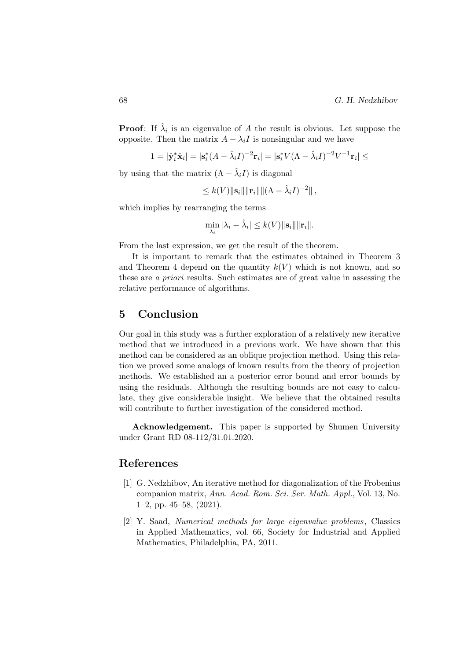**Proof**: If  $\hat{\lambda}_i$  is an eigenvalue of A the result is obvious. Let suppose the opposite. Then the matrix  $A - \lambda_i I$  is nonsingular and we have

$$
1=|\hat{\mathbf{y}}_i^*\hat{\mathbf{x}}_i|=|\mathbf{s}_i^*(A-\hat{\lambda}_iI)^{-2}\mathbf{r}_i|=|\mathbf{s}_i^*V(\Lambda-\hat{\lambda}_iI)^{-2}V^{-1}\mathbf{r}_i|\leq
$$

by using that the matrix  $(\Lambda - \hat{\lambda}_i I)$  is diagonal

$$
\leq k(V) \|\mathbf{s}_i\| \|\mathbf{r}_i\| \|\Lambda - \hat{\lambda}_i I)^{-2}\|,
$$

which implies by rearranging the terms

$$
\min_{\lambda_i} |\lambda_i - \hat{\lambda}_i| \leq k(V) \|\mathbf{s}_i\| \|\mathbf{r}_i\|.
$$

From the last expression, we get the result of the theorem.

It is important to remark that the estimates obtained in Theorem 3 and Theorem 4 depend on the quantity  $k(V)$  which is not known, and so these are a priori results. Such estimates are of great value in assessing the relative performance of algorithms.

#### 5 Conclusion

Our goal in this study was a further exploration of a relatively new iterative method that we introduced in a previous work. We have shown that this method can be considered as an oblique projection method. Using this relation we proved some analogs of known results from the theory of projection methods. We established an a posterior error bound and error bounds by using the residuals. Although the resulting bounds are not easy to calculate, they give considerable insight. We believe that the obtained results will contribute to further investigation of the considered method.

Acknowledgement. This paper is supported by Shumen University under Grant RD 08-112/31.01.2020.

#### References

- [1] G. Nedzhibov, An iterative method for diagonalization of the Frobenius companion matrix, Ann. Acad. Rom. Sci. Ser. Math. Appl., Vol. 13, No. 1–2, pp. 45–58, (2021).
- [2] Y. Saad, Numerical methods for large eigenvalue problems, Classics in Applied Mathematics, vol. 66, Society for Industrial and Applied Mathematics, Philadelphia, PA, 2011.